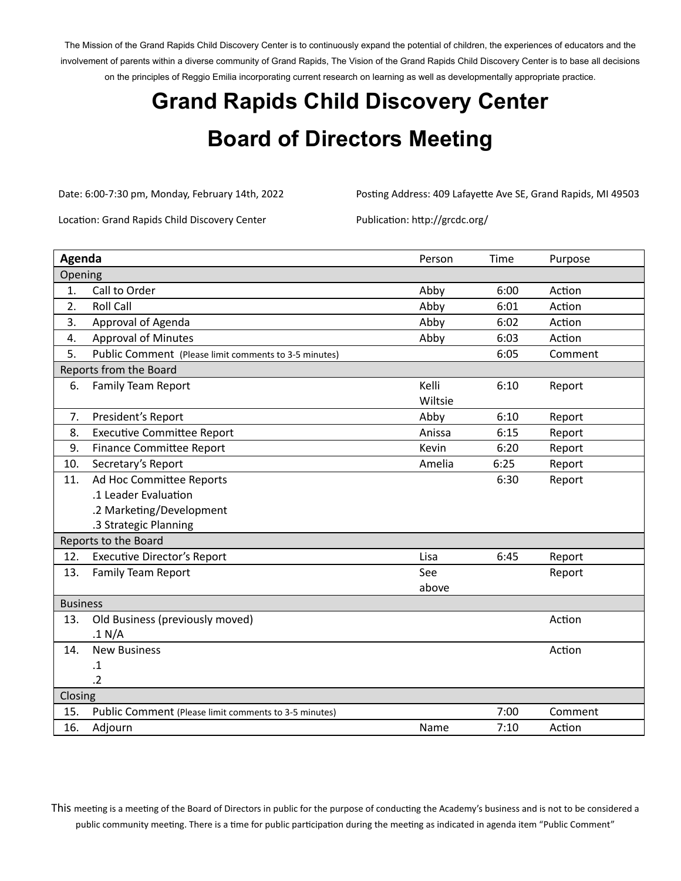The Mission of the Grand Rapids Child Discovery Center is to continuously expand the potential of children, the experiences of educators and the involvement of parents within a diverse community of Grand Rapids, The Vision of the Grand Rapids Child Discovery Center is to base all decisions on the principles of Reggio Emilia incorporating current research on learning as well as developmentally appropriate practice.

## **Grand Rapids Child Discovery Center Board of Directors Meeting**

Date: 6:00-7:30 pm, Monday, February 14th, 2022 Posting Address: 409 Lafayette Ave SE, Grand Rapids, MI 49503

Location: Grand Rapids Child Discovery Center Publication: http://grcdc.org/

| Agenda                 |                                                       | Person  | Time | Purpose |
|------------------------|-------------------------------------------------------|---------|------|---------|
| Opening                |                                                       |         |      |         |
| 1.                     | Call to Order                                         | Abby    | 6:00 | Action  |
| 2.                     | <b>Roll Call</b>                                      | Abby    | 6:01 | Action  |
| 3.                     | Approval of Agenda                                    | Abby    | 6:02 | Action  |
| 4.                     | <b>Approval of Minutes</b>                            | Abby    | 6:03 | Action  |
| 5.                     | Public Comment (Please limit comments to 3-5 minutes) |         | 6:05 | Comment |
| Reports from the Board |                                                       |         |      |         |
| 6.                     | <b>Family Team Report</b>                             | Kelli   | 6:10 | Report  |
|                        |                                                       | Wiltsie |      |         |
| 7.                     | President's Report                                    | Abby    | 6:10 | Report  |
| 8.                     | <b>Executive Committee Report</b>                     | Anissa  | 6:15 | Report  |
| 9.                     | <b>Finance Committee Report</b>                       | Kevin   | 6:20 | Report  |
| 10.                    | Secretary's Report                                    | Amelia  | 6:25 | Report  |
| 11.                    | Ad Hoc Committee Reports                              |         | 6:30 | Report  |
|                        | .1 Leader Evaluation                                  |         |      |         |
|                        | .2 Marketing/Development                              |         |      |         |
|                        | .3 Strategic Planning                                 |         |      |         |
| Reports to the Board   |                                                       |         |      |         |
| 12.                    | <b>Executive Director's Report</b>                    | Lisa    | 6:45 | Report  |
| 13.                    | <b>Family Team Report</b>                             | See     |      | Report  |
|                        |                                                       | above   |      |         |
| <b>Business</b>        |                                                       |         |      |         |
| 13.                    | Old Business (previously moved)                       |         |      | Action  |
|                        | .1 N/A                                                |         |      |         |
| 14.                    | <b>New Business</b>                                   |         |      | Action  |
|                        | $\cdot$ 1                                             |         |      |         |
|                        | $\overline{.2}$                                       |         |      |         |
| Closing                |                                                       |         |      |         |
| 15.                    | Public Comment (Please limit comments to 3-5 minutes) |         | 7:00 | Comment |
| 16.                    | Adjourn                                               | Name    | 7:10 | Action  |

This meeting is a meeting of the Board of Directors in public for the purpose of conducting the Academy's business and is not to be considered a public community meeting. There is a time for public participation during the meeting as indicated in agenda item "Public Comment"